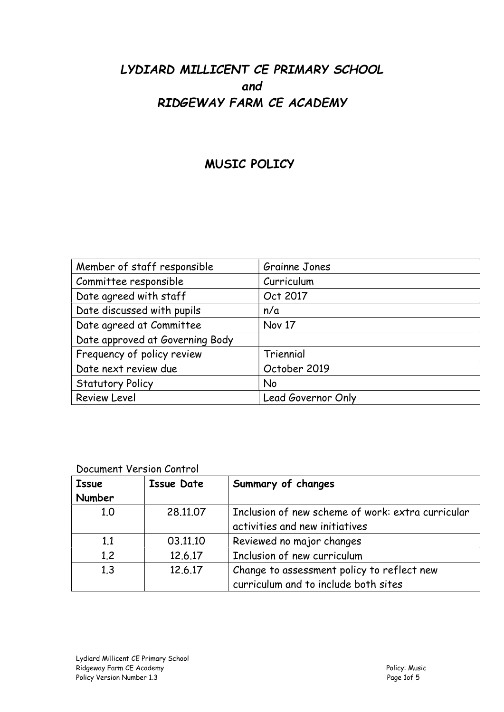# LYDIARD MILLICENT CE PRIMARY SCHOOL and RIDGEWAY FARM CE ACADEMY

## MUSIC POLICY

| Member of staff responsible     | Grainne Jones      |
|---------------------------------|--------------------|
| Committee responsible           | Curriculum         |
| Date agreed with staff          | Oct 2017           |
| Date discussed with pupils      | n/a                |
| Date agreed at Committee        | Nov 17             |
| Date approved at Governing Body |                    |
| Frequency of policy review      | Triennial          |
| Date next review due            | October 2019       |
| <b>Statutory Policy</b>         | No                 |
| <b>Review Level</b>             | Lead Governor Only |

### Document Version Control

| <b>Issue</b><br>Number | <b>Issue Date</b> | Summary of changes                                                                  |
|------------------------|-------------------|-------------------------------------------------------------------------------------|
| 1.0                    | 28,11,07          | Inclusion of new scheme of work: extra curricular<br>activities and new initiatives |
| 1.1                    | 03.11.10          | Reviewed no major changes                                                           |
| 1.2                    | 12.6.17           | Inclusion of new curriculum                                                         |
| 1.3                    | 12.6.17           | Change to assessment policy to reflect new<br>curriculum and to include both sites  |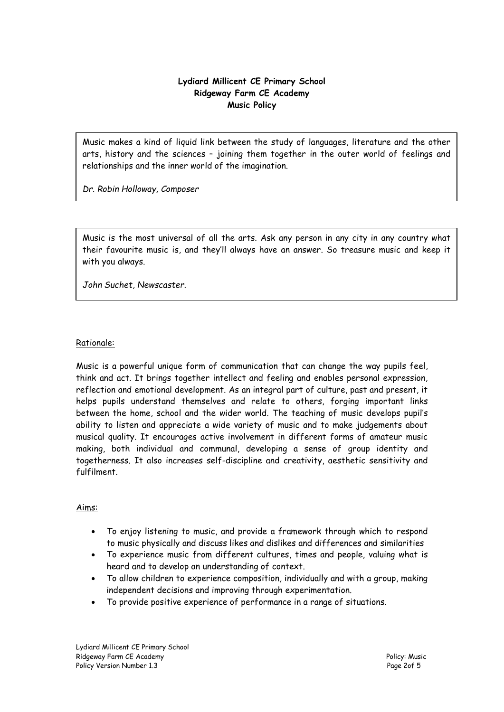#### Lydiard Millicent CE Primary School Ridgeway Farm CE Academy Music Policy

Music makes a kind of liquid link between the study of languages, literature and the other arts, history and the sciences – joining them together in the outer world of feelings and relationships and the inner world of the imagination.

Dr. Robin Holloway, Composer

Music is the most universal of all the arts. Ask any person in any city in any country what their favourite music is, and they'll always have an answer. So treasure music and keep it with you always.

John Suchet, Newscaster.

#### Rationale:

Music is a powerful unique form of communication that can change the way pupils feel, think and act. It brings together intellect and feeling and enables personal expression, reflection and emotional development. As an integral part of culture, past and present, it helps pupils understand themselves and relate to others, forging important links between the home, school and the wider world. The teaching of music develops pupil's ability to listen and appreciate a wide variety of music and to make judgements about musical quality. It encourages active involvement in different forms of amateur music making, both individual and communal, developing a sense of group identity and togetherness. It also increases self-discipline and creativity, aesthetic sensitivity and fulfilment.

#### Aims:

- To enjoy listening to music, and provide a framework through which to respond to music physically and discuss likes and dislikes and differences and similarities
- To experience music from different cultures, times and people, valuing what is heard and to develop an understanding of context.
- To allow children to experience composition, individually and with a group, making independent decisions and improving through experimentation.
- To provide positive experience of performance in a range of situations.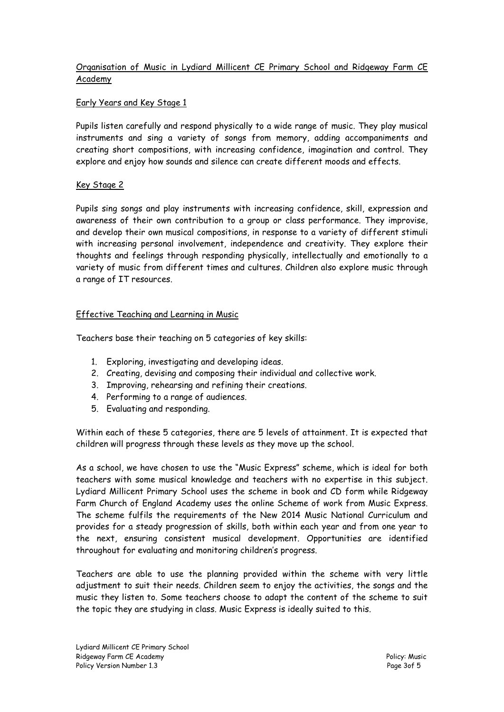#### Organisation of Music in Lydiard Millicent CE Primary School and Ridgeway Farm CE Academy

#### Early Years and Key Stage 1

Pupils listen carefully and respond physically to a wide range of music. They play musical instruments and sing a variety of songs from memory, adding accompaniments and creating short compositions, with increasing confidence, imagination and control. They explore and enjoy how sounds and silence can create different moods and effects.

#### Key Stage 2

Pupils sing songs and play instruments with increasing confidence, skill, expression and awareness of their own contribution to a group or class performance. They improvise, and develop their own musical compositions, in response to a variety of different stimuli with increasing personal involvement, independence and creativity. They explore their thoughts and feelings through responding physically, intellectually and emotionally to a variety of music from different times and cultures. Children also explore music through a range of IT resources.

#### Effective Teaching and Learning in Music

Teachers base their teaching on 5 categories of key skills:

- 1. Exploring, investigating and developing ideas.
- 2. Creating, devising and composing their individual and collective work.
- 3. Improving, rehearsing and refining their creations.
- 4. Performing to a range of audiences.
- 5. Evaluating and responding.

Within each of these 5 categories, there are 5 levels of attainment. It is expected that children will progress through these levels as they move up the school.

As a school, we have chosen to use the "Music Express" scheme, which is ideal for both teachers with some musical knowledge and teachers with no expertise in this subject. Lydiard Millicent Primary School uses the scheme in book and CD form while Ridgeway Farm Church of England Academy uses the online Scheme of work from Music Express. The scheme fulfils the requirements of the New 2014 Music National Curriculum and provides for a steady progression of skills, both within each year and from one year to the next, ensuring consistent musical development. Opportunities are identified throughout for evaluating and monitoring children's progress.

Teachers are able to use the planning provided within the scheme with very little adjustment to suit their needs. Children seem to enjoy the activities, the songs and the music they listen to. Some teachers choose to adapt the content of the scheme to suit the topic they are studying in class. Music Express is ideally suited to this.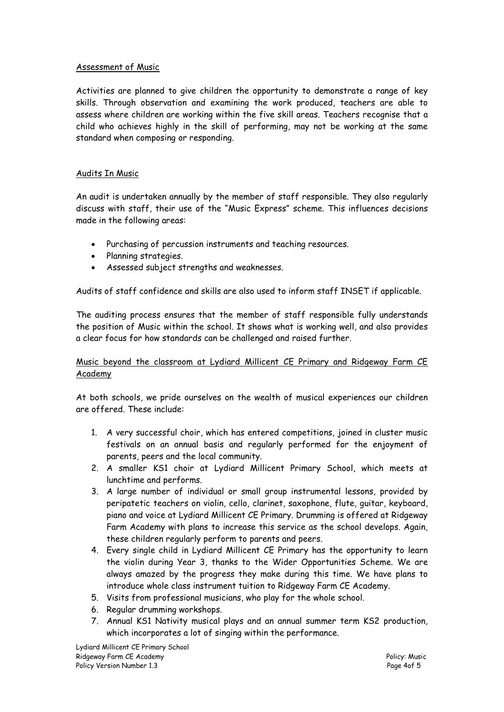#### Assessment of Music

Activities are planned to give children the opportunity to demonstrate a range of key skills. Through observation and examining the work produced, teachers are able to assess where children are working within the five skill areas. Teachers recognise that a child who achieves highly in the skill of performing, may not be working at the same standard when composing or responding.

#### Audits In Music

An audit is undertaken annually by the member of staff responsible. They also regularly discuss with staff, their use of the "Music Express" scheme. This influences decisions made in the following areas:

- Purchasing of percussion instruments and teaching resources.
- Planning strategies.
- Assessed subject strengths and weaknesses.

Audits of staff confidence and skills are also used to inform staff INSET if applicable.

The auditing process ensures that the member of staff responsible fully understands the position of Music within the school. It shows what is working well, and also provides a clear focus for how standards can be challenged and raised further.

#### Music beyond the classroom at Lydiard Millicent CE Primary and Ridgeway Farm CE Academy

At both schools, we pride ourselves on the wealth of musical experiences our children are offered. These include:

- 1. A very successful choir, which has entered competitions, joined in cluster music festivals on an annual basis and regularly performed for the enjoyment of parents, peers and the local community.
- 2. A smaller KS1 choir at Lydiard Millicent Primary School, which meets at lunchtime and performs.
- 3. A large number of individual or small group instrumental lessons, provided by peripatetic teachers on violin, cello, clarinet, saxophone, flute, guitar, keyboard, piano and voice at Lydiard Millicent CE Primary. Drumming is offered at Ridgeway Farm Academy with plans to increase this service as the school develops. Again, these children regularly perform to parents and peers.
- 4. Every single child in Lydiard Millicent CE Primary has the opportunity to learn the violin during Year 3, thanks to the Wider Opportunities Scheme. We are always amazed by the progress they make during this time. We have plans to introduce whole class instrument tuition to Ridgeway Farm CE Academy.
- 5. Visits from professional musicians, who play for the whole school.
- 6. Regular drumming workshops.
- 7. Annual KS1 Nativity musical plays and an annual summer term KS2 production, which incorporates a lot of singing within the performance.